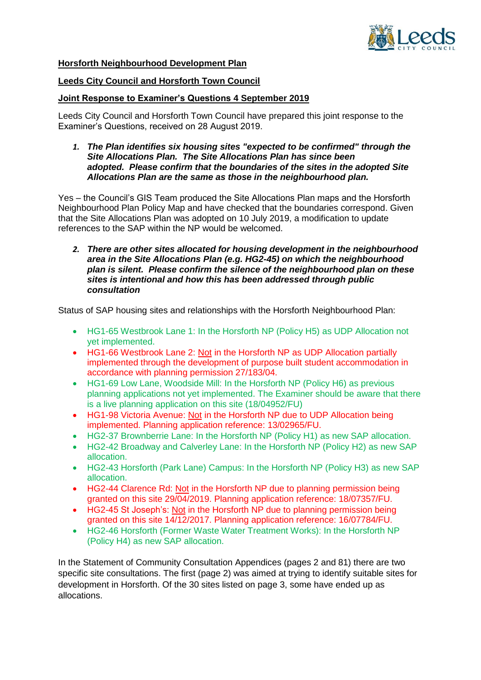

**Horsforth Neighbourhood Development Plan**

## **Leeds City Council and Horsforth Town Council**

## **Joint Response to Examiner's Questions 4 September 2019**

Leeds City Council and Horsforth Town Council have prepared this joint response to the Examiner's Questions, received on 28 August 2019.

*1. The Plan identifies six housing sites "expected to be confirmed" through the Site Allocations Plan. The Site Allocations Plan has since been adopted. Please confirm that the boundaries of the sites in the adopted Site Allocations Plan are the same as those in the neighbourhood plan.*

Yes – the Council's GIS Team produced the Site Allocations Plan maps and the Horsforth Neighbourhood Plan Policy Map and have checked that the boundaries correspond. Given that the Site Allocations Plan was adopted on 10 July 2019, a modification to update references to the SAP within the NP would be welcomed.

*2. There are other sites allocated for housing development in the neighbourhood area in the Site Allocations Plan (e.g. HG2-45) on which the neighbourhood plan is silent. Please confirm the silence of the neighbourhood plan on these sites is intentional and how this has been addressed through public consultation*

Status of SAP housing sites and relationships with the Horsforth Neighbourhood Plan:

- HG1-65 Westbrook Lane 1: In the Horsforth NP (Policy H5) as UDP Allocation not yet implemented.
- HG1-66 Westbrook Lane 2: Not in the Horsforth NP as UDP Allocation partially implemented through the development of purpose built student accommodation in accordance with planning permission 27/183/04.
- HG1-69 Low Lane, Woodside Mill: In the Horsforth NP (Policy H6) as previous planning applications not yet implemented. The Examiner should be aware that there is a live planning application on this site (18/04952/FU)
- HG1-98 Victoria Avenue: Not in the Horsforth NP due to UDP Allocation being implemented. Planning application reference: 13/02965/FU.
- HG2-37 Brownberrie Lane: In the Horsforth NP (Policy H1) as new SAP allocation.
- HG2-42 Broadway and Calverley Lane: In the Horsforth NP (Policy H2) as new SAP allocation.
- HG2-43 Horsforth (Park Lane) Campus: In the Horsforth NP (Policy H3) as new SAP allocation.
- HG2-44 Clarence Rd: Not in the Horsforth NP due to planning permission being granted on this site 29/04/2019. Planning application reference: 18/07357/FU.
- HG2-45 St Joseph's: Not in the Horsforth NP due to planning permission being granted on this site 14/12/2017. Planning application reference: 16/07784/FU.
- HG2-46 Horsforth (Former Waste Water Treatment Works): In the Horsforth NP (Policy H4) as new SAP allocation.

In the Statement of Community Consultation Appendices (pages 2 and 81) there are two specific site consultations. The first (page 2) was aimed at trying to identify suitable sites for development in Horsforth. Of the 30 sites listed on page 3, some have ended up as allocations.